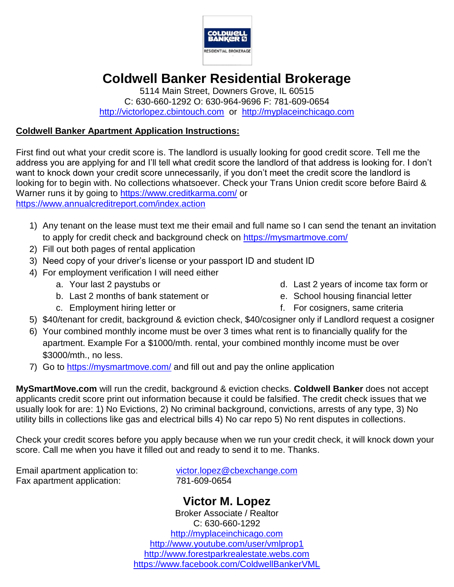

## **Coldwell Banker Residential Brokerage**

5114 Main Street, Downers Grove, IL 60515 C: 630-660-1292 O: 630-964-9696 F: 781-609-0654 [http://victorlopez.cbintouch.com](http://victorlopez.cbintouch.com/) or [http://myplaceinchicago.com](http://myplaceinchicago.com/)

## **Coldwell Banker Apartment Application Instructions:**

First find out what your credit score is. The landlord is usually looking for good credit score. Tell me the address you are applying for and I'll tell what credit score the landlord of that address is looking for. I don't want to knock down your credit score unnecessarily, if you don't meet the credit score the landlord is looking for to begin with. No collections whatsoever. Check your Trans Union credit score before Baird & Warner runs it by going to<https://www.creditkarma.com/> or <https://www.annualcreditreport.com/index.action>

- 1) Any tenant on the lease must text me their email and full name so I can send the tenant an invitation to apply for credit check and background check on<https://mysmartmove.com/>
- 2) Fill out both pages of rental application
- 3) Need copy of your driver's license or your passport ID and student ID
- 4) For employment verification I will need either
	- a. Your last 2 paystubs or
	- b. Last 2 months of bank statement or
	- c. Employment hiring letter or
- d. Last 2 years of income tax form or
- e. School housing financial letter
- f. For cosigners, same criteria
- 5) \$40/tenant for credit, background & eviction check, \$40/cosigner only if Landlord request a cosigner
- 6) Your combined monthly income must be over 3 times what rent is to financially qualify for the apartment. Example For a \$1000/mth. rental, your combined monthly income must be over \$3000/mth., no less.
- 7) Go to<https://mysmartmove.com/> and fill out and pay the online application

**MySmartMove.com** will run the credit, background & eviction checks. **Coldwell Banker** does not accept applicants credit score print out information because it could be falsified. The credit check issues that we usually look for are: 1) No Evictions, 2) No criminal background, convictions, arrests of any type, 3) No utility bills in collections like gas and electrical bills 4) No car repo 5) No rent disputes in collections.

Check your credit scores before you apply because when we run your credit check, it will knock down your score. Call me when you have it filled out and ready to send it to me. Thanks.

Fax apartment application: 781-609-0654

Email apartment application to: [victor.lopez@cbexchange.com](mailto:victor.lopez@cbexchange.com)

**Victor M. Lopez** Broker Associate / Realtor C: 630-660-1292 [http://myplaceinchicago.com](http://myplaceinchicago.com/) <http://www.youtube.com/user/vmlprop1> [http://www.forestparkrealestate.webs.com](http://www.forestparkrealestate.webs.com/) [https://www.facebook.com/ColdwellBankerVML](https://www.facebook.com/BairdWarnerVML)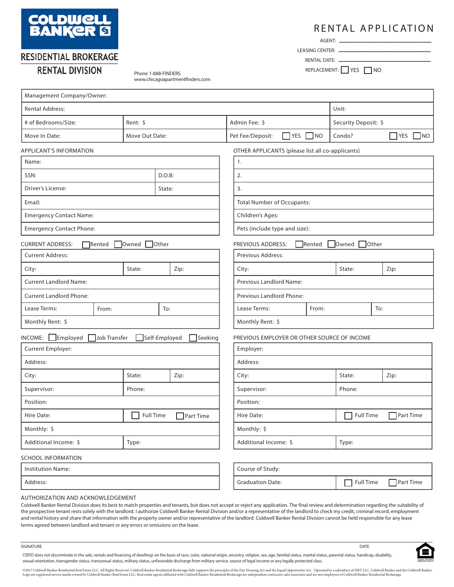

## RESIDENTIAL BROKERAGE

## **RENTAL DIVISION**

Phone 1-888-FINDERS www.chicagoapartmentfinders.com

## RENTAL APPLICATION \_\_\_\_\_\_\_\_\_\_\_\_\_\_\_\_

AGENT:  $-$ 

\_\_\_\_\_\_\_\_\_\_\_\_\_\_\_\_ LEASING CENTER:

\_\_\_\_\_\_\_\_\_\_\_\_\_\_\_\_ RENTAL DATE: REPLACEMENT: YES NO

| Management Company/Owner:                   |              |                                |                                |                                           |               |                                                  |                   |                      |        |       |      |           |
|---------------------------------------------|--------------|--------------------------------|--------------------------------|-------------------------------------------|---------------|--------------------------------------------------|-------------------|----------------------|--------|-------|------|-----------|
| <b>Rental Address:</b>                      |              |                                |                                |                                           |               |                                                  |                   | Unit:                |        |       |      |           |
| # of Bedrooms/Size:                         |              | Rent: \$                       |                                |                                           | Admin Fee: \$ |                                                  |                   | Security Deposit: \$ |        |       |      |           |
| Move In Date:                               |              | Move Out Date:                 |                                |                                           |               | Pet Fee/Deposit:                                 | $7$ YES $\Box$ NO |                      | Condo? |       | YES  | $\neg$ NO |
| <b>APPLICANT'S INFORMATION</b>              |              |                                |                                |                                           |               | OTHER APPLICANTS (please list all co-applicants) |                   |                      |        |       |      |           |
| Name:                                       |              |                                |                                |                                           |               | 1.                                               |                   |                      |        |       |      |           |
| SSN:                                        |              |                                | D.O.B:                         |                                           |               | 2.                                               |                   |                      |        |       |      |           |
| Driver's License:                           |              |                                | State:                         |                                           |               | 3.                                               |                   |                      |        |       |      |           |
| Email:                                      |              |                                |                                |                                           |               | <b>Total Number of Occupants:</b>                |                   |                      |        |       |      |           |
| <b>Emergency Contact Name:</b>              |              |                                |                                |                                           |               | Children's Ages:                                 |                   |                      |        |       |      |           |
| <b>Emergency Contact Phone:</b>             |              |                                |                                |                                           |               | Pets (include type and size):                    |                   |                      |        |       |      |           |
| <b>CURRENT ADDRESS:</b>                     | Rented       | Owned                          | Other                          |                                           |               | PREVIOUS ADDRESS:                                |                   | Rented               | Owned  | Other |      |           |
| <b>Current Address:</b>                     |              |                                |                                |                                           |               | Previous Address:                                |                   |                      |        |       |      |           |
| City:                                       |              | State:                         |                                | Zip:                                      |               | City:                                            |                   |                      | State: |       | Zip: |           |
| <b>Current Landlord Name:</b>               |              |                                |                                | Previous Landlord Name:                   |               |                                                  |                   |                      |        |       |      |           |
| <b>Current Landlord Phone:</b>              |              |                                |                                | Previous Landlord Phone:                  |               |                                                  |                   |                      |        |       |      |           |
| Lease Terms:                                | From:        |                                | To:                            |                                           |               | Lease Terms:                                     |                   | From:                |        | To:   |      |           |
| Monthly Rent: \$                            |              |                                |                                | Monthly Rent: \$                          |               |                                                  |                   |                      |        |       |      |           |
| $INCOME:$ Employed                          | Job Transfer | Self-Employed                  |                                | Seeking                                   |               | PREVIOUS EMPLOYER OR OTHER SOURCE OF INCOME      |                   |                      |        |       |      |           |
| Current Employer:                           |              |                                |                                |                                           |               | Employer:                                        |                   |                      |        |       |      |           |
| Address:                                    |              |                                |                                |                                           |               | Address:                                         |                   |                      |        |       |      |           |
| City:                                       |              | State:                         |                                | Zip:                                      |               | City:                                            |                   |                      | State: |       | Zip: |           |
| Supervisor:                                 |              | Phone:                         |                                |                                           |               | Supervisor:<br>Phone:                            |                   |                      |        |       |      |           |
| Position:                                   |              |                                |                                |                                           | Position:     |                                                  |                   |                      |        |       |      |           |
| <b>Full Time</b><br>Hire Date:<br>Part Time |              |                                | <b>Full Time</b><br>Hire Date: |                                           | Part Time     |                                                  |                   |                      |        |       |      |           |
| Monthly: \$                                 |              |                                | Monthly: \$                    |                                           |               |                                                  |                   |                      |        |       |      |           |
| Additional Income: \$<br>Type:              |              | Additional Income: \$<br>Type: |                                |                                           |               |                                                  |                   |                      |        |       |      |           |
| <b>SCHOOL INFORMATION</b>                   |              |                                |                                |                                           |               |                                                  |                   |                      |        |       |      |           |
| <b>Institution Name:</b>                    |              |                                |                                |                                           |               | Course of Study:                                 |                   |                      |        |       |      |           |
| Address:                                    |              |                                |                                | Full Time<br><b>Graduation Date:</b><br>⊓ |               | Part Time                                        |                   |                      |        |       |      |           |

#### AUTHORIZATION AND ACKNOWLEDGEMENT

Coldwell Banker Rental Division does its best to match properties and tenants, but does not accept or reject any application. The final review and determination regarding the suitability of the prospective tenant rests solely with the landlord. I authorize Coldwell Banker Rental Division and/or a representative of the landlord to check my credit, criminal record, employment and rental history and share that information with the property owner and/or representative of the landlord. Coldwell Banker Rental Division cannot be held responsible for any lease terms agreed between landlord and tenant or any errors or omissions on the lease.



CBRD does not discriminate in the sale, rentals and financing of dwellings on the basis of race, color, national origin, ancestry, religion, sex, age, familial status, marital status, parental status, handicap, disability, sexual orientation, transgender status, transsexual status, military status, unfavorable discharge from military service, source of legal income or any legally protected class. SIGNATURE DATE

©2017 Coldwell Banker Residential Real Estate LLC. All Rights Reserved. Coldwell Banker Residential Brokerage fully supports the principles of the Fair Housing Act and the Equal Opportunity Act. Operated by a subsidiary of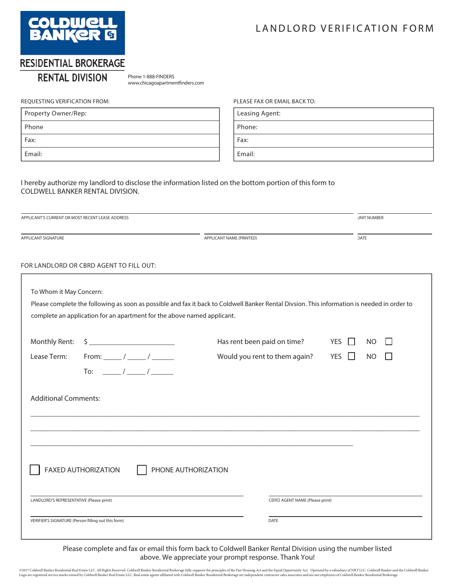

## LANDLORD VERIFICATION FORM

## RESIDENTIAL BROKERAGE

## **RENTAL DIVISION**

Phone 1-888-FINDERS www.chicagoapartmentfinders.com

#### REQUESTING VERIFICATION FROM:

| Property Owner/Rep: |
|---------------------|
| Phone               |
| Fax:                |
| Email:              |

#### PLEASE FAX OR EMAIL BACK TO:

Leasing Agent: Phone:

Fax:

Email:

#### I hereby authorize my landlord to disclose the information listed on the bottom portion of this form to COLDWELL BANKER RENTAL DIVISION.

| APPLICANT'S CURRENT OR MOST RECENT LEASE ADDRESS |                                                                                                                                                                                                                                                                                                                                                                                                                                       |                                                                                                                                             | <b>UNIT NUMBER</b>                                      |
|--------------------------------------------------|---------------------------------------------------------------------------------------------------------------------------------------------------------------------------------------------------------------------------------------------------------------------------------------------------------------------------------------------------------------------------------------------------------------------------------------|---------------------------------------------------------------------------------------------------------------------------------------------|---------------------------------------------------------|
| APPLICANT SIGNATURE                              |                                                                                                                                                                                                                                                                                                                                                                                                                                       | APPLICANT NAME (PRINTED)                                                                                                                    | DATE                                                    |
|                                                  | FOR LANDLORD OR CBRD AGENT TO FILL OUT:                                                                                                                                                                                                                                                                                                                                                                                               |                                                                                                                                             |                                                         |
| To Whom it May Concern:                          | complete an application for an apartment for the above named applicant.                                                                                                                                                                                                                                                                                                                                                               | Please complete the following as soon as possible and fax it back to Coldwell Banker Rental Divsion. This information is needed in order to |                                                         |
| Monthly Rent:<br>Lease Term:                     | $\begin{picture}(20,10) \put(0,0){\vector(1,0){100}} \put(15,0){\vector(1,0){100}} \put(15,0){\vector(1,0){100}} \put(15,0){\vector(1,0){100}} \put(15,0){\vector(1,0){100}} \put(15,0){\vector(1,0){100}} \put(15,0){\vector(1,0){100}} \put(15,0){\vector(1,0){100}} \put(15,0){\vector(1,0){100}} \put(15,0){\vector(1,0){100}} \put(15,0){\vector(1,0){100}} \$<br>From: ________ / _______ / _______<br>To: $\frac{\sqrt{2}}{2}$ | Has rent been paid on time?<br>Would you rent to them again?                                                                                | YES I<br>N <sub>O</sub><br><b>YES</b><br>П<br><b>NO</b> |
| <b>Additional Comments:</b>                      |                                                                                                                                                                                                                                                                                                                                                                                                                                       |                                                                                                                                             |                                                         |
|                                                  |                                                                                                                                                                                                                                                                                                                                                                                                                                       |                                                                                                                                             |                                                         |
|                                                  | <b>FAXED AUTHORIZATION</b><br>PHONE AUTHORIZATION                                                                                                                                                                                                                                                                                                                                                                                     |                                                                                                                                             |                                                         |
| LANDLORD'S REPRESENTATIVE (Please print)         |                                                                                                                                                                                                                                                                                                                                                                                                                                       | CBRD AGENT NAME (Please print)                                                                                                              |                                                         |
|                                                  | VERIFIER'S SIGNATURE (Person filling out this form)                                                                                                                                                                                                                                                                                                                                                                                   | <b>DATE</b>                                                                                                                                 |                                                         |

Please complete and fax or email this form back to Coldwell Banker Rental Division using the number listed above. We appreciate your prompt response. Thank You!

©2017 Coldwell Banker Residential Real Estate LLC. All Rights Reserved. Coldwell Banker Residential Brokerage fully supports the principles of the Fair Housing Act and the Equal Opportunity Act. Operated by a subsidiary of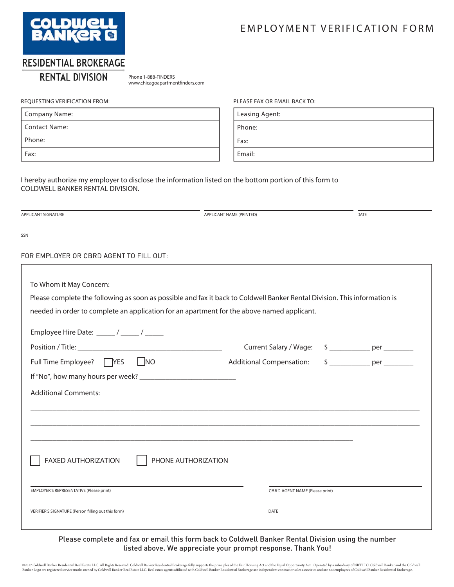

## **EMPLOYMENT VERIFICATION FORM**

## RESIDENTIAL BROKERAGE

## **RENTAL DIVISION**

Phone 1-888-FINDERS www.chicagoapartmentfinders.com

#### REQUESTING VERIFICATION FROM:

| Company Name: |
|---------------|
| Contact Name: |
| Phone:        |
| Fax:          |

#### PLEASE FAX OR EMAIL BACK TO:

Leasing Agent:

Phone:

Fax:

Email:

I hereby authorize my employer to disclose the information listed on the bottom portion of this form to COLDWELL BANKER RENTAL DIVISION.

APPLICANT SIGNATURE

APPLICANT NAME (PRINTED)

DATE

SSN

#### FOR EMPLOYER OR CBRD AGENT TO FILL OUT:

| To Whom it May Concern:                                                                                                   |                                 |                   |
|---------------------------------------------------------------------------------------------------------------------------|---------------------------------|-------------------|
|                                                                                                                           |                                 |                   |
| Please complete the following as soon as possible and fax it back to Coldwell Banker Rental Division. This information is |                                 |                   |
| needed in order to complete an application for an apartment for the above named applicant.                                |                                 |                   |
| Employee Hire Date: _____/ _____/ _____                                                                                   |                                 |                   |
|                                                                                                                           | Current Salary / Wage:          |                   |
| $\overline{\phantom{a}}$ NO<br>Full Time Employee? □ YES                                                                  | <b>Additional Compensation:</b> | $\frac{1}{2}$ per |
|                                                                                                                           |                                 |                   |
| <b>Additional Comments:</b>                                                                                               |                                 |                   |
|                                                                                                                           |                                 |                   |
|                                                                                                                           |                                 |                   |
|                                                                                                                           |                                 |                   |
|                                                                                                                           |                                 |                   |
| <b>FAXED AUTHORIZATION</b><br>PHONE AUTHORIZATION                                                                         |                                 |                   |
|                                                                                                                           |                                 |                   |
| EMPLOYER'S REPRESENTATIVE (Please print)                                                                                  | CBRD AGENT NAME (Please print)  |                   |
|                                                                                                                           |                                 |                   |
| VERIFIER'S SIGNATURE (Person filling out this form)                                                                       | <b>DATE</b>                     |                   |
|                                                                                                                           |                                 |                   |

#### Please complete and fax or email this form back to Coldwell Banker Rental Division using the number listed above. We appreciate your prompt response. Thank You!

©2017 Coldwell Banker Residential Real Estate LLC. All Rights Reserved. Coldwell Banker Residential Brokerage fully supports the principles of the Fair Housing Act and the Equal Opportunity Act. Operated by a subsidiary of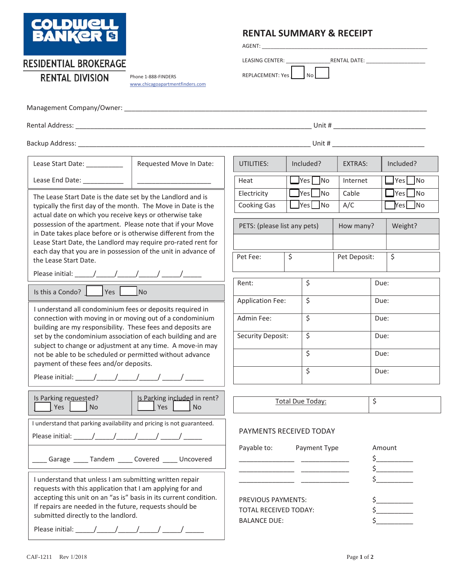

## **RENTAL SUMMARY & RECEIPT**

AGENT: \_\_\_\_\_\_\_\_\_\_\_\_\_\_\_\_\_\_\_\_\_\_\_\_\_\_\_\_\_\_\_\_\_\_\_\_\_\_\_\_\_\_\_\_\_\_\_\_\_\_\_\_\_\_\_\_

LEASING CENTER: \_\_\_\_\_\_\_\_\_\_\_\_\_\_\_RENTAL DATE: \_\_\_\_\_\_\_\_\_\_\_\_\_\_\_\_\_\_\_\_

REPLACEMENT: Yes No

**RESIDENTIAL BROKERAGE** 

Phone 1-888-FINDERS www.chicagoapartmentfinders.com

| Management Company/Owner: |  |
|---------------------------|--|
|                           |  |

Rental Address: \_\_\_\_\_\_\_\_\_\_\_\_\_\_\_\_\_\_\_\_\_\_\_\_\_\_\_\_\_\_\_\_\_\_\_\_\_\_\_\_\_\_\_\_\_\_\_\_\_\_\_\_\_\_\_\_\_\_\_\_\_\_\_\_ Unit # \_\_\_\_\_\_\_\_\_\_\_\_\_\_\_\_\_\_\_\_\_\_\_\_\_

| UIIIL # |  |  |
|---------|--|--|
|         |  |  |
|         |  |  |
|         |  |  |
| Unit #  |  |  |
|         |  |  |

| Backup Address: _                                                                                                                                                                                                                                       |                                                  |                              | Unit #                                     |                  |                       |
|---------------------------------------------------------------------------------------------------------------------------------------------------------------------------------------------------------------------------------------------------------|--------------------------------------------------|------------------------------|--------------------------------------------|------------------|-----------------------|
| Lease Start Date: __________                                                                                                                                                                                                                            | Requested Move In Date:                          | UTILITIES:                   | Included?                                  | <b>EXTRAS:</b>   | Included?             |
| Lease End Date: ____________                                                                                                                                                                                                                            |                                                  | Heat                         | $\blacksquare$ Yes $\blacksquare$ No       | Internet         | Yes No                |
| The Lease Start Date is the date set by the Landlord and is                                                                                                                                                                                             |                                                  | Electricity                  | $\exists$ Yes $\Box$ No                    | Cable            | $\gamma$ es $\Box$ No |
| typically the first day of the month. The Move in Date is the                                                                                                                                                                                           |                                                  | <b>Cooking Gas</b>           | <b>Pres</b><br>$\overline{\phantom{a}}$ No | A/C              | Yes No                |
| actual date on which you receive keys or otherwise take<br>possession of the apartment. Please note that if your Move<br>in Date takes place before or is otherwise different from the<br>Lease Start Date, the Landlord may require pro-rated rent for |                                                  | PETS: (please list any pets) |                                            | How many?        | Weight?               |
| each day that you are in possession of the unit in advance of<br>the Lease Start Date.                                                                                                                                                                  |                                                  | Pet Fee:                     | \$                                         | Pet Deposit:     | $\overline{\xi}$      |
|                                                                                                                                                                                                                                                         |                                                  | Rent:                        | \$                                         |                  | Due:                  |
| Is this a Condo? $\sqrt{1 + 2}$ Yes                                                                                                                                                                                                                     | No                                               |                              |                                            |                  |                       |
| I understand all condominium fees or deposits required in                                                                                                                                                                                               |                                                  | <b>Application Fee:</b>      | \$                                         |                  | Due:                  |
| connection with moving in or moving out of a condominium<br>building are my responsibility. These fees and deposits are                                                                                                                                 |                                                  | Admin Fee:                   | \$                                         |                  | Due:                  |
| set by the condominium association of each building and are<br>subject to change or adjustment at any time. A move-in may                                                                                                                               |                                                  | <b>Security Deposit:</b>     | \$                                         |                  | Due:                  |
| not be able to be scheduled or permitted without advance<br>payment of these fees and/or deposits.                                                                                                                                                      |                                                  |                              | \$                                         |                  | Due:                  |
|                                                                                                                                                                                                                                                         |                                                  |                              | $\zeta$                                    |                  | Due:                  |
| Is Parking reauested?<br>Yes<br><b>No</b>                                                                                                                                                                                                               | Is Parking included in rent?<br>Yes<br><b>No</b> |                              | <b>Total Due Today:</b>                    | $\overline{\xi}$ |                       |
| I understand that parking availability and pricing is not guaranteed.                                                                                                                                                                                   |                                                  |                              | PAYMENTS RECEIVED TODAY                    |                  |                       |
|                                                                                                                                                                                                                                                         |                                                  | Payable to:                  | Payment Type                               |                  | Amount                |
| ___ Garage ____ Tandem ____ Covered ____ Uncovered                                                                                                                                                                                                      |                                                  |                              |                                            |                  | $\zeta$               |
|                                                                                                                                                                                                                                                         |                                                  |                              |                                            |                  |                       |

I understand that unless I am submitting written repair requests with this application that I am applying for and accepting this unit on an "as is" basis in its current condition. If repairs are needed in the future, requests should be submitted directly to the landlord.

Please initial: \_\_\_\_\_\_/\_\_\_\_\_\_/\_\_\_\_\_\_/ \_\_\_\_\_/ \_\_\_\_\_\_\_\_/

TOTAL RECEIVED TODAY: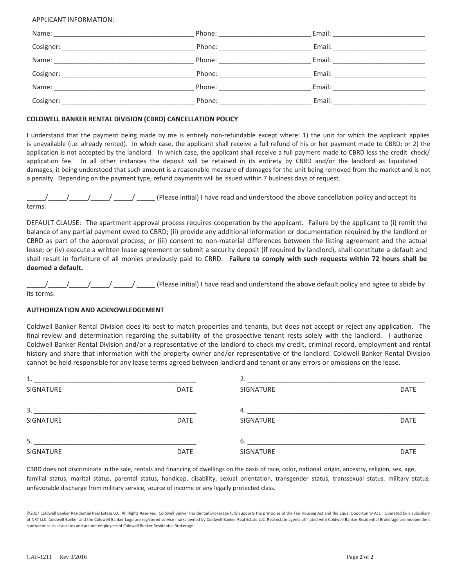#### APPLICANT INFORMATION:

|                                                                                              | Phone: <u>___________</u> | Email: Email: All and the state of the state of the state of the state of the state of the state of the state of the state of the state of the state of the state of the state of the state of the state of the state of the s |
|----------------------------------------------------------------------------------------------|---------------------------|--------------------------------------------------------------------------------------------------------------------------------------------------------------------------------------------------------------------------------|
| Cosigner:                                                                                    | Phone:                    | Email:                                                                                                                                                                                                                         |
| Name:<br>the contract of the contract of the contract of the contract of the contract of     | Phone:                    | Email:                                                                                                                                                                                                                         |
| Cosigner:<br>the contract of the contract of the contract of the contract of the contract of | Phone:                    | Email:                                                                                                                                                                                                                         |
| Name:                                                                                        | Phone:                    | Email:                                                                                                                                                                                                                         |
| Cosigner:                                                                                    | Phone:                    | Email:                                                                                                                                                                                                                         |

#### **COLDWELL BANKER RENTAL DIVISION (CBRD) CANCELLATION POLICY**

I understand that the payment being made by me is entirely non-refundable except where: 1) the unit for which the applicant applies is unavailable (i.e. already rented). In which case, the applicant shall receive a full refund of his or her payment made to CBRD; or 2) the application is not accepted by the landlord. In which case, the applicant shall receive a full payment made to CBRD less the credit check/ application fee. In all other instances the deposit will be retained in its entirety by CBRD and/or the landlord as liquidated damages, it being understood that such amount is a reasonable measure of damages for the unit being removed from the market and is not a penalty. Depending on the payment type, refund payments will be issued within 7 business days of request.

 $\frac{1}{2}$   $\frac{1}{2}$   $\frac{1}{2}$   $\frac{1}{2}$   $\frac{1}{2}$  (Please initial) I have read and understood the above cancellation policy and accept its terms.

DEFAULT CLAUSE: The apartment approval process requires cooperation by the applicant. Failure by the applicant to (i) remit the balance of any partial payment owed to CBRD; (ii) provide any additional information or documentation required by the landlord or CBRD as part of the approval process; or (iii) consent to non-material differences between the listing agreement and the actual lease; or (iv) execute a written lease agreement or submit a security deposit (if required by landlord), shall constitute a default and shall result in forfeiture of all monies previously paid to Z. **Failure to comply with such requests within 72 hours shall be deemed a default.**

 $\frac{1}{1-\frac{1}{1-\frac{1}{1-\frac{1}{1-\frac{1}{1-\frac{1}{1-\frac{1}{1-\frac{1}{1-\frac{1}{1-\frac{1}{1-\frac{1}{1-\frac{1}{1-\frac{1}{1-\frac{1}{1-\frac{1}{1-\frac{1}{1-\frac{1}{1-\frac{1}{1-\frac{1}{1-\frac{1}{1-\frac{1}{1-\frac{1}{1-\frac{1}{1-\frac{1}{1-\frac{1}{1-\frac{1}{1-\frac{1}{1-\frac{1}{1-\frac{1}{1-\frac{1}{1-\frac{1}{1-\frac{1}{1-\frac{1}{1-\frac{1}{1-\frac{1}{1-\frac{1}{1-\frac{1$ its terms.

#### **AUTHORIZATION AND ACKNOWLEDGEMENT**

Coldwell Banker Rental Division does its best to match properties and tenants, but does not accept or reject any application. The final review and determination regarding the suitability of the prospective tenant rests solely with the landlord. I authorize Coldwell Banker Rental Division and/or a representative of the landlord to check my credit, criminal record, employment and rental history and share that information with the property owner and/or representative of the landlord. Coldwell Banker Rental Division cannot be held responsible for any lease terms agreed between landlord and tenant or any errors or omissions on the lease.

| 1.        |             |                  |             |  |
|-----------|-------------|------------------|-------------|--|
| SIGNATURE | DATE        | SIGNATURE        | <b>DATE</b> |  |
| 3.        |             | 4.               |             |  |
| SIGNATURE | <b>DATE</b> | <b>SIGNATURE</b> | <b>DATE</b> |  |
| 5.        |             | 6.               |             |  |
| SIGNATURE | <b>DATE</b> | <b>SIGNATURE</b> | <b>DATE</b> |  |

CBRD does not discriminate in the sale, rentals and financing of dwellings on the basis of race, color, national origin, ancestry, religion, sex, age, familial status, marital status, parental status, handicap, disability, sexual orientation, transgender status, transsexual status, military status, unfavorable discharge from military service, source of income or any legally protected class.

<sup>©2017</sup> Coldwell Banker Residential Real Estate LLC. All Rights Reserved. Coldwell Banker Residential Brokerage fully supports the principles of the Fair Housing Act and the Equal Opportunity Act. Operated by a subsidiary of NRT LLC. Coldwell Banker and the Coldwell Banker Logo are registered service marks owned by Coldwell Banker Real Estate LLC. Real estate agents affiliated with Coldwell Banker Residential Brokerage are independent contractor sales associates and are not employees of Coldwell Banker Residential Brokerage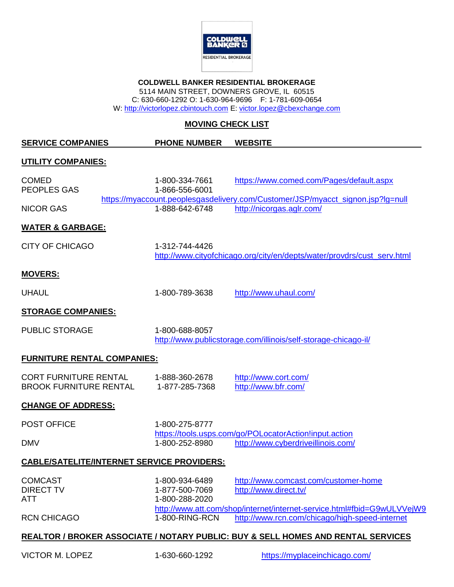

#### **COLDWELL BANKER RESIDENTIAL BROKERAGE** 5114 MAIN STREET, DOWNERS GROVE, IL 60515

C: 630-660-1292 O: 1-630-964-9696 F: 1-781-609-0654

W: [http://victorlopez.cbintouch.com](http://victorlopez.cbintouch.com/) E: [victor.lopez@cbexchange.com](mailto:victor.lopez@cbexchange.com)

## **MOVING CHECK LIST**

**SERVICE COMPANIES PHONE NUMBER WEBSITE**

#### **UTILITY COMPANIES:**

| <b>COMED</b><br><b>PEOPLES GAS</b>                            | 1-800-334-7661<br>1-866-556-6001                   |                                                        | https://www.comed.com/Pages/default.aspx<br>https://myaccount.peoplesgasdelivery.com/Customer/JSP/myacct_signon.jsp?lg=null |
|---------------------------------------------------------------|----------------------------------------------------|--------------------------------------------------------|-----------------------------------------------------------------------------------------------------------------------------|
| <b>NICOR GAS</b>                                              | 1-888-642-6748                                     | http://nicorgas.aglr.com/                              |                                                                                                                             |
| <b>WATER &amp; GARBAGE:</b>                                   |                                                    |                                                        |                                                                                                                             |
| <b>CITY OF CHICAGO</b>                                        | 1-312-744-4426                                     |                                                        | http://www.cityofchicago.org/city/en/depts/water/provdrs/cust_serv.html                                                     |
| <b>MOVERS:</b>                                                |                                                    |                                                        |                                                                                                                             |
| <b>UHAUL</b>                                                  | 1-800-789-3638                                     | http://www.uhaul.com/                                  |                                                                                                                             |
| <b>STORAGE COMPANIES:</b>                                     |                                                    |                                                        |                                                                                                                             |
| <b>PUBLIC STORAGE</b>                                         | 1-800-688-8057                                     |                                                        | http://www.publicstorage.com/illinois/self-storage-chicago-il/                                                              |
| <b>FURNITURE RENTAL COMPANIES:</b>                            |                                                    |                                                        |                                                                                                                             |
| <b>CORT FURNITURE RENTAL</b><br><b>BROOK FURNITURE RENTAL</b> | 1-888-360-2678<br>1-877-285-7368                   | http://www.cort.com/<br>http://www.bfr.com/            |                                                                                                                             |
| <b>CHANGE OF ADDRESS:</b>                                     |                                                    |                                                        |                                                                                                                             |
| <b>POST OFFICE</b>                                            | 1-800-275-8777                                     | https://tools.usps.com/go/POLocatorAction!input.action |                                                                                                                             |
| <b>DMV</b>                                                    | 1-800-252-8980                                     |                                                        | http://www.cyberdriveillinois.com/                                                                                          |
|                                                               | <b>CABLE/SATELITE/INTERNET SERVICE PROVIDERS:</b>  |                                                        |                                                                                                                             |
| <b>COMCAST</b><br><b>DIRECT TV</b><br><b>ATT</b>              | 1-800-934-6489<br>1-877-500-7069<br>1-800-288-2020 | http://www.direct.tv/                                  | http://www.comcast.com/customer-home                                                                                        |
| <b>RCN CHICAGO</b>                                            | 1-800-RING-RCN                                     |                                                        | http://www.att.com/shop/internet/internet-service.html#fbid=G9wULVVejW9<br>http://www.rcn.com/chicago/high-speed-internet   |
|                                                               |                                                    |                                                        | REALTOR / BROKER ASSOCIATE / NOTARY PUBLIC: BUY & SELL HOMES AND RENTAL SERVICES                                            |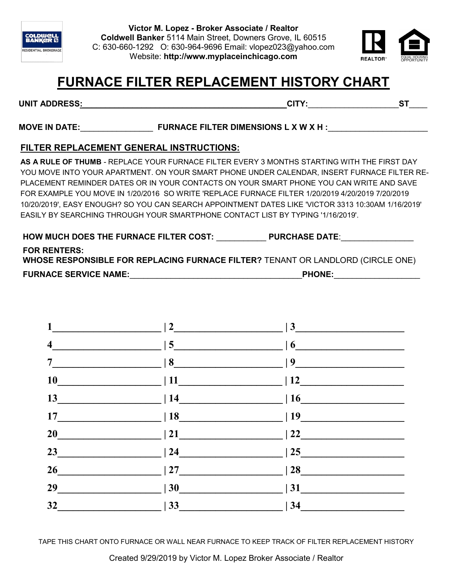



## **FURNACE FILTER REPLACEMENT HISTORY CHART**

## **UNIT ADDRESS:**\_\_\_\_\_\_\_\_\_\_\_\_\_\_\_\_\_\_\_\_\_\_\_\_\_\_\_\_\_\_\_\_\_\_\_\_\_\_\_\_\_\_\_\_\_**CITY:**\_\_\_\_\_\_\_\_\_\_\_\_\_\_\_\_\_\_\_\_**ST**\_\_\_\_

## MOVE IN DATE: FURNACE FILTER DIMENSIONS L X W X H :

## **FILTER REPLACEMENT GENERAL INSTRUCTIONS:**

**AS A RULE OF THUMB** - REPLACE YOUR FURNACE FILTER EVERY 3 MONTHS STARTING WITH THE FIRST DAY YOU MOVE INTO YOUR APARTMENT. ON YOUR SMART PHONE UNDER CALENDAR, INSERT FURNACE FILTER RE-PLACEMENT REMINDER DATES OR IN YOUR CONTACTS ON YOUR SMART PHONE YOU CAN WRITE AND SAVE FOR EXAMPLE YOU MOVE IN 1/20/2016 SO WRITE 'REPLACE FURNACE FILTER 1/20/2019 4/20/2019 7/20/2019 10/20/2019', EASY ENOUGH? SO YOU CAN SEARCH APPOINTMENT DATES LIKE 'VICTOR 3313 10:30AM 1/16/2019' EASILY BY SEARCHING THROUGH YOUR SMARTPHONE CONTACT LIST BY TYPING '1/16/2019'.

| <b>HOW MUCH DOES THE FURNACE FILTER COST:</b>                                                          | <b>PURCHASE DATE:</b> |
|--------------------------------------------------------------------------------------------------------|-----------------------|
| <b>FOR RENTERS:</b><br>WHOSE RESPONSIBLE FOR REPLACING FURNACE FILTER? TENANT OR LANDLORD (CIRCLE ONE) |                       |
| <b>FURNACE SERVICE NAME:</b>                                                                           | <b>PHONE:</b>         |

| $7 \longrightarrow 8 \longrightarrow 9 \longrightarrow$ |  |
|---------------------------------------------------------|--|
| $10$ $12$                                               |  |
| $13$ $ 14$ $ 16$                                        |  |
| $17$ $18$ $19$                                          |  |
| 20 $\boxed{20}$   21 $\boxed{22}$   22 $\boxed{22}$     |  |
| $23$ 23                                                 |  |
|                                                         |  |
| $29$   30   31   31                                     |  |
| $32$ $ 33$ $ 34$                                        |  |

TAPE THIS CHART ONTO FURNACE OR WALL NEAR FURNACE TO KEEP TRACK OF FILTER REPLACEMENT HISTORY

Created 9/29/2019 by Victor M. Lopez Broker Associate / Realtor